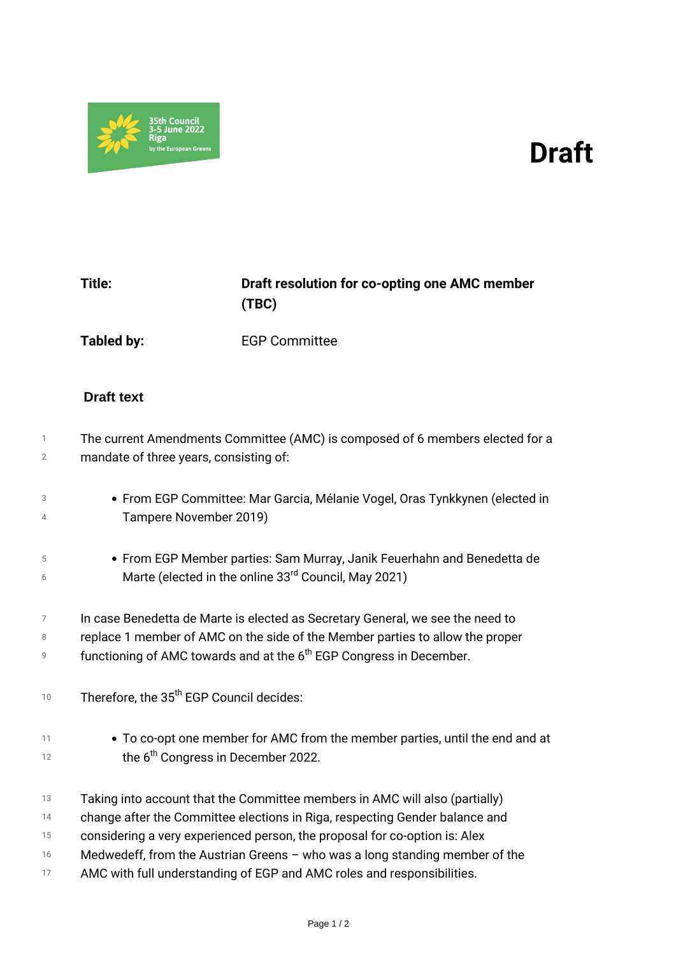## *Draft*



## *Title: Draft resolution for co-opting one AMC member (TBC)*

*Tabled by: EGP Committee*

## **Draft text**

*3 4*

> *5 6*

- *1 2 The current Amendments Committee (AMC) is composed of 6 members elected for a mandate of three years, consisting of:*
	- *From EGP Committee: Mar Garcia, Mélanie Vogel, Oras Tynkkynen (elected in Tampere November 2019)*
		- *From EGP Member parties: Sam Murray, Janik Feuerhahn and Benedetta de Marte (elected in the online 33rd Council, May 2021)*
- *7 8 9 In case Benedetta de Marte is elected as Secretary General, we see the need to replace 1 member of AMC on the side of the Member parties to allow the proper functioning of AMC towards and at the 6th EGP Congress in December.*
- *<sup>10</sup> Therefore, the 35th EGP Council decides:*
- *11 12 To co-opt one member for AMC from the member parties, until the end and at the 6th Congress in December 2022.*
- *13 Taking into account that the Committee members in AMC will also (partially)*
- *14 change after the Committee elections in Riga, respecting Gender balance and*
- *15 considering a very experienced person, the proposal for co-option is: Alex*
- *16 Medwedeff, from the Austrian Greens – who was a long standing member of the*
- *17 AMC with full understanding of EGP and AMC roles and responsibilities.*